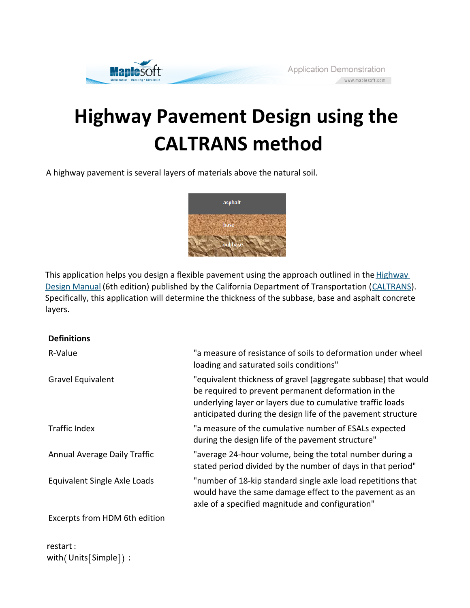

# **Highway Pavement Design using the CALTRANS method**

A highway pavement is several layers of materials above the natural soil.



This application helps you design a flexible pavement using the approach outlined in the Highway Design Manual (6th edition) published by the California Department of Transportation (CALTRANS). Specifically, this application will determine the thickness of the subbase, base and asphalt concrete layers.

# **Definitions**

| R-Value                       | "a measure of resistance of soils to deformation under wheel<br>loading and saturated soils conditions"                                                                                                                                             |
|-------------------------------|-----------------------------------------------------------------------------------------------------------------------------------------------------------------------------------------------------------------------------------------------------|
| Gravel Equivalent             | "equivalent thickness of gravel (aggregate subbase) that would<br>be required to prevent permanent deformation in the<br>underlying layer or layers due to cumulative traffic loads<br>anticipated during the design life of the pavement structure |
| <b>Traffic Index</b>          | "a measure of the cumulative number of ESALs expected<br>during the design life of the pavement structure"                                                                                                                                          |
| Annual Average Daily Traffic  | "average 24-hour volume, being the total number during a<br>stated period divided by the number of days in that period"                                                                                                                             |
| Equivalent Single Axle Loads  | "number of 18-kip standard single axle load repetitions that<br>would have the same damage effect to the pavement as an<br>axle of a specified magnitude and configuration"                                                                         |
| Excerpts from HDM 6th edition |                                                                                                                                                                                                                                                     |

restart: with(Units[Simple]):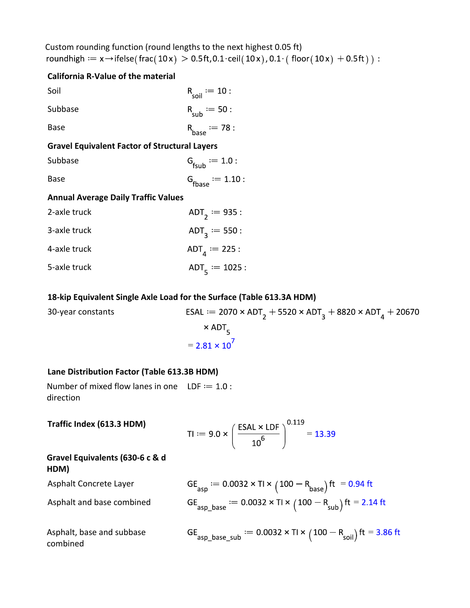Custom rounding function (round lengths to the next highest 0.05 ft) roundhigh  $:= x \rightarrow$  ifelse(frac(10x) > 0.5ft, 0.1 · ceil(10x), 0.1 · (floor(10x) + 0.5ft)) :

# **California R-Value of the material**

| Soil    | $R_{\text{soil}} := 10$ : |
|---------|---------------------------|
| Subbase | $R_{sub} := 50$ :         |
| Base    | $R_{base} := 78$ :        |

# **Gravel Equivalent Factor of Structural Layers**

| Subbase | $G_{\text{fsub}} := 1.0$ :       |
|---------|----------------------------------|
| Base    | $G$ <sub>fbase</sub> $:= 1.10$ : |

# **Annual Average Daily Traffic Values**

| 2-axle truck | ADT <sub>2</sub> = 935 :                |
|--------------|-----------------------------------------|
| 3-axle truck | ADT <sub>3</sub> = 550 :                |
| 4-axle truck | ADT <sub><math>1</math></sub> = 225 :   |
| 5-axle truck | ADT <sub><math>5</math></sub> := 1025 : |

### **18-kip Equivalent Single Axle Load for the Surface (Table 613.3A HDM)**

30-year constants ESAL := 2070 × ADT<sub>2</sub> + 5520 × ADT<sub>3</sub> + 8820 × ADT<sub>4</sub> + 20670  $\times$  ADT<sub>5</sub>  $= 2.81 \times 10^7$ 

# **Lane Distribution Factor (Table 613.3B HDM)**

**HDM)**

combined

Number of mixed flow lanes in one  $LDF := 1.0$ : direction

**Traffic Index (613.3 HDM)** TI =  $9.0 \times \left(\frac{\text{ESAL} \times \text{LDF}}{10^6}\right)^{0.119} = 13.39$ **Gravel Equivalents (630-6 c & d** 

| <b>NUIVI</b>              |                                                                                              |
|---------------------------|----------------------------------------------------------------------------------------------|
| Asphalt Concrete Layer    | GE <sub>asp</sub> := $0.0032 \times T1 \times (100 - R_{base})$ ft = 0.94 ft                 |
| Asphalt and base combined | GE <sub>asp_base</sub> := $0.0032 \times T1 \times (100 - R_{sub})$ ft = 2.14 ft             |
| Asphalt, base and subbase | GE <sub>asp_base_sub</sub> $:= 0.0032 \times T1 \times (100 - R_{\text{soil}})$ ft = 3.86 ft |